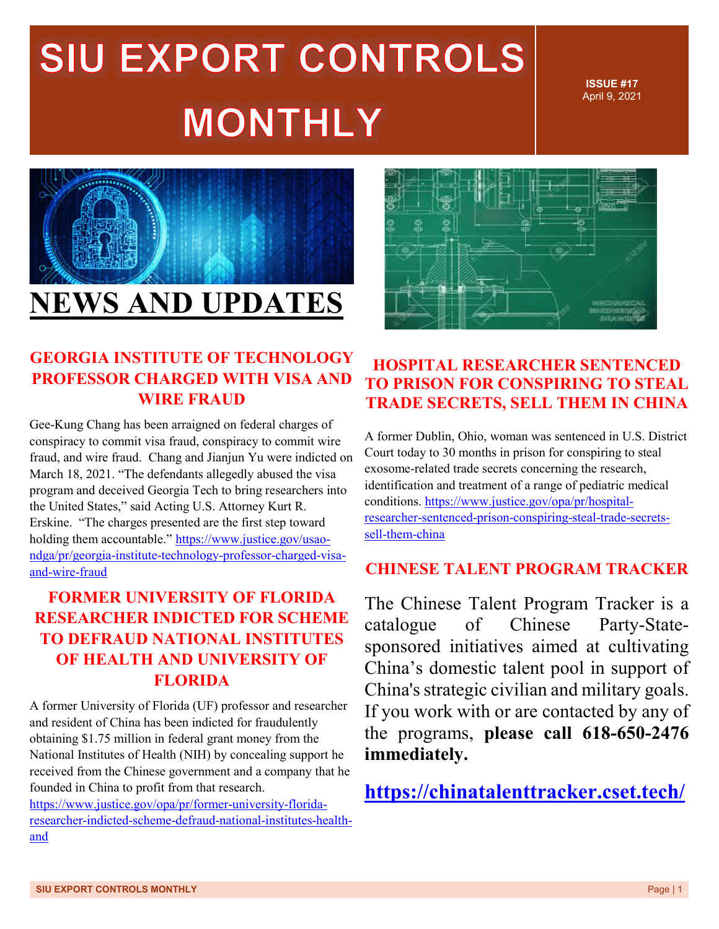**ISSUE #17** April 9, 2021



### **GEORGIA INSTITUTE OF TECHNOLOGY PROFESSOR CHARGED WITH VISA AND WIRE FRAUD**

Gee-Kung Chang has been arraigned on federal charges of conspiracy to commit visa fraud, conspiracy to commit wire fraud, and wire fraud. Chang and Jianjun Yu were indicted on March 18, 2021. "The defendants allegedly abused the visa program and deceived Georgia Tech to bring researchers into the United States," said Acting U.S. Attorney Kurt R. Erskine. "The charges presented are the first step toward holding them accountable." [https://www.justice.gov/usao](https://www.justice.gov/usao-ndga/pr/georgia-institute-technology-professor-charged-visa-and-wire-fraud)[ndga/pr/georgia-institute-technology-professor-charged-visa](https://www.justice.gov/usao-ndga/pr/georgia-institute-technology-professor-charged-visa-and-wire-fraud)[and-wire-fraud](https://www.justice.gov/usao-ndga/pr/georgia-institute-technology-professor-charged-visa-and-wire-fraud)

### **FORMER UNIVERSITY OF FLORIDA RESEARCHER INDICTED FOR SCHEME TO DEFRAUD NATIONAL INSTITUTES OF HEALTH AND UNIVERSITY OF FLORIDA**

A former University of Florida (UF) professor and researcher and resident of China has been indicted for fraudulently obtaining \$1.75 million in federal grant money from the National Institutes of Health (NIH) by concealing support he received from the Chinese government and a company that he founded in China to profit from that research.

[https://www.justice.gov/opa/pr/former-university-florida](https://www.justice.gov/opa/pr/former-university-florida-researcher-indicted-scheme-defraud-national-institutes-health-and)[researcher-indicted-scheme-defraud-national-institutes-health](https://www.justice.gov/opa/pr/former-university-florida-researcher-indicted-scheme-defraud-national-institutes-health-and)[and](https://www.justice.gov/opa/pr/former-university-florida-researcher-indicted-scheme-defraud-national-institutes-health-and)

#### **HOSPITAL RESEARCHER SENTENCED TO PRISON FOR CONSPIRING TO STEAL TRADE SECRETS, SELL THEM IN CHINA**

A former Dublin, Ohio, woman was sentenced in U.S. District Court today to 30 months in prison for conspiring to steal exosome-related trade secrets concerning the research, identification and treatment of a range of pediatric medical conditions. [https://www.justice.gov/opa/pr/hospital](https://www.justice.gov/opa/pr/hospital-researcher-sentenced-prison-conspiring-steal-trade-secrets-sell-them-china)[researcher-sentenced-prison-conspiring-steal-trade-secrets](https://www.justice.gov/opa/pr/hospital-researcher-sentenced-prison-conspiring-steal-trade-secrets-sell-them-china)[sell-them-china](https://www.justice.gov/opa/pr/hospital-researcher-sentenced-prison-conspiring-steal-trade-secrets-sell-them-china)

#### **CHINESE TALENT PROGRAM TRACKER**

The Chinese Talent Program Tracker is a catalogue of Chinese Party-Statesponsored initiatives aimed at cultivating China's domestic talent pool in support of China's strategic civilian and military goals. If you work with or are contacted by any of the programs, **please call 618-650-2476 immediately.**

**<https://chinatalenttracker.cset.tech/>**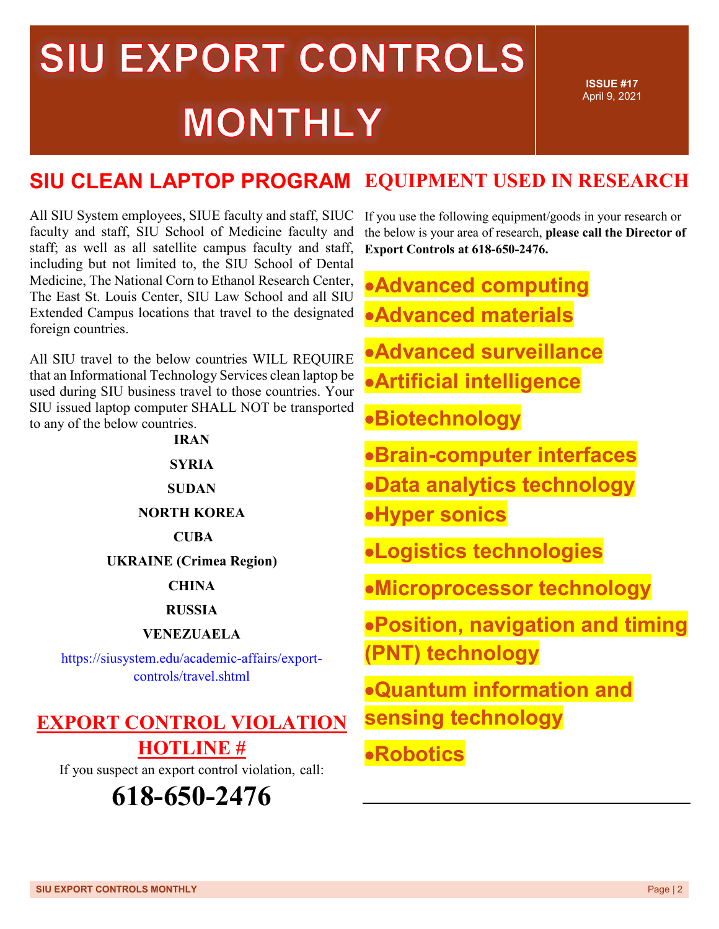**ISSUE #17** April 9, 2021

#### **SIU CLEAN LAPTOP PROGRAM EQUIPMENT USED IN RESEARCH**

All SIU System employees, SIUE faculty and staff, SIUC faculty and staff, SIU School of Medicine faculty and staff; as well as all satellite campus faculty and staff, including but not limited to, the SIU School of Dental Medicine, The National Corn to Ethanol Research Center, The East St. Louis Center, SIU Law School and all SIU Extended Campus locations that travel to the designated foreign countries.

All SIU travel to the below countries WILL REQUIRE that an Informational Technology Services clean laptop be used during SIU business travel to those countries. Your SIU issued laptop computer SHALL NOT be transported to any of the below countries.

| <b>IRAN</b>                                                             |
|-------------------------------------------------------------------------|
| <b>SYRIA</b>                                                            |
| <b>SUDAN</b>                                                            |
| <b>NORTH KOREA</b>                                                      |
| <b>CUBA</b>                                                             |
| <b>UKRAINE</b> (Crimea Region)                                          |
| <b>CHINA</b>                                                            |
| <b>RUSSIA</b>                                                           |
| <b>VENEZUAELA</b>                                                       |
| https://siusystem.edu/academic-affairs/export-<br>controls/travel.shtml |
|                                                                         |
| ZDADT CANTDAL VIALATI                                                   |

### **EXPORT CONTROL VIOLATION HOTLINE #**

If you suspect an export control violation, call:



If you use the following equipment/goods in your research or the below is your area of research, **please call the Director of Export Controls at 618-650-2476.**

•**Advanced computing** 

- •**Advanced materials**
- •**Advanced surveillance**
- •**Artificial intelligence**
- •**Biotechnology**
- •**Brain-computer interfaces**
- •**Data analytics technology**
- •**Hyper sonics**

•**Logistics technologies**

•**Microprocessor technology**

- •**Position, navigation and timing (PNT) technology**
- •**Quantum information and sensing technology**

### •**Robotics**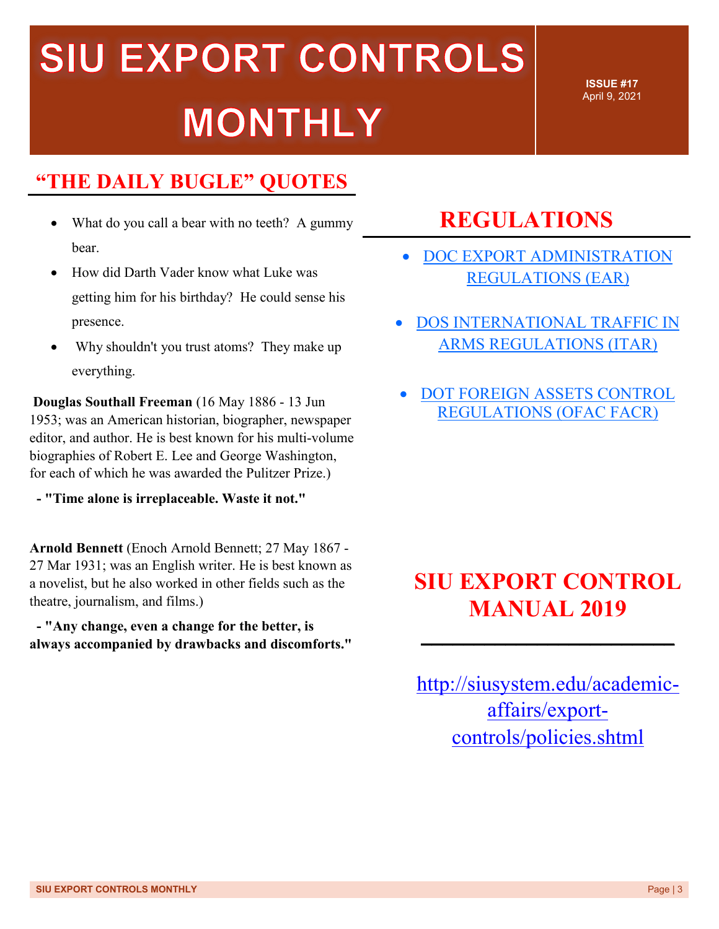### **"THE DAILY BUGLE" QUOTES**

- What do you call a bear with no teeth? A gummy bear.
- How did Darth Vader know what Luke was getting him for his birthday? He could sense his presence.
- Why shouldn't you trust atoms? They make up everything.

**Douglas Southall Freeman** (16 May 1886 - 13 Jun 1953; was an American historian, biographer, newspaper editor, and author. He is best known for his multi-volume biographies of Robert E. Lee and George Washington, for each of which he was awarded the Pulitzer Prize.)

**- "Time alone is irreplaceable. Waste it not."** 

**Arnold Bennett** (Enoch Arnold Bennett; 27 May 1867 - 27 Mar 1931; was an English writer. He is best known as a novelist, but he also worked in other fields such as the theatre, journalism, and films.)

**- "Any change, even a change for the better, is always accompanied by drawbacks and discomforts."**

### **REGULATIONS**

• DOC [EXPORT ADMINISTRATION](http://r20.rs6.net/tn.jsp?f=001UiHfviR9AjzumKwB5DA296Pcs6yK5VFWkIY7zDNf4UhkYcLg0Ykx7x5Br_iW1z2jad3mY_nSorxjo6OqBhsiRU3N1bnrm6a-ED5Z44cejW0x_qv9Z1Cal-LcFEv0jPWBOkfAauZtA934rObCAtGQJbHDb3AUAwH4TniIvAAMOiUHYZowYOEGuj-KOmA-pbsDUlL6F2O_xGGXwW23gztkKl7F6UcJ-0k64pRnLDdH2ecOP_6TzEIwrO4bsWC9raGzXsTHEgDgroMVGdU1NmGRt24fEgnzgLz03dXPTuGk4LyqdUUQQLc28r7KPqITD7V1Cuj1ofXvlOk=&c=tKo3WHo58kTN8hro-5PyaFyLB5bkp8BbBMf8v3HGPsL0oZXSHxOOPQ==&ch=PAF_1B1RLLAhn-l7nADeql8X6A7bUCNPde1YV3IVYVzcHONHm8tbFQ==)  [REGULATIONS \(EAR\)](http://r20.rs6.net/tn.jsp?f=001UiHfviR9AjzumKwB5DA296Pcs6yK5VFWkIY7zDNf4UhkYcLg0Ykx7x5Br_iW1z2jad3mY_nSorxjo6OqBhsiRU3N1bnrm6a-ED5Z44cejW0x_qv9Z1Cal-LcFEv0jPWBOkfAauZtA934rObCAtGQJbHDb3AUAwH4TniIvAAMOiUHYZowYOEGuj-KOmA-pbsDUlL6F2O_xGGXwW23gztkKl7F6UcJ-0k64pRnLDdH2ecOP_6TzEIwrO4bsWC9raGzXsTHEgDgroMVGdU1NmGRt24fEgnzgLz03dXPTuGk4LyqdUUQQLc28r7KPqITD7V1Cuj1ofXvlOk=&c=tKo3WHo58kTN8hro-5PyaFyLB5bkp8BbBMf8v3HGPsL0oZXSHxOOPQ==&ch=PAF_1B1RLLAhn-l7nADeql8X6A7bUCNPde1YV3IVYVzcHONHm8tbFQ==)

**ISSUE #17** April 9, 2021

- [DOS INTERNATIONAL TRAFFIC IN](http://r20.rs6.net/tn.jsp?f=001UiHfviR9AjzumKwB5DA296Pcs6yK5VFWkIY7zDNf4UhkYcLg0Ykx719sHykF43nSKyeckSKdi9IMQMnPYBdvh9IjG2xQftWR9wb66nIKCDqWxtJrToZBOIX29skkrmW7Wk_PfbA_fNXxXsU9XE-nuM_93bESLLz5Gkm6OQYQY6NJ-UnhMY0JNMbS16uNUBkCNqvH_1qcVGpbzBhZpNCWC5kr92TVv33Vhd44xq3wo9NFcWSpOMmpUAG0bX2Unu21MdwwtVqwwD6qvj7xOJ_m2hpBrpTT2z3ZUtomEPK5hyc2fTHXNa3RhxNme1qhUmsE&c=tKo3WHo58kTN8hro-5PyaFyLB5bkp8BbBMf8v3HGPsL0oZXSHxOOPQ==&ch=PAF_1B1RLLAhn-l7nADeql8X6A7bUCNPde1YV3IVYVzcHONHm8tbFQ==)  [ARMS REGULATIONS \(ITAR\)](http://r20.rs6.net/tn.jsp?f=001UiHfviR9AjzumKwB5DA296Pcs6yK5VFWkIY7zDNf4UhkYcLg0Ykx719sHykF43nSKyeckSKdi9IMQMnPYBdvh9IjG2xQftWR9wb66nIKCDqWxtJrToZBOIX29skkrmW7Wk_PfbA_fNXxXsU9XE-nuM_93bESLLz5Gkm6OQYQY6NJ-UnhMY0JNMbS16uNUBkCNqvH_1qcVGpbzBhZpNCWC5kr92TVv33Vhd44xq3wo9NFcWSpOMmpUAG0bX2Unu21MdwwtVqwwD6qvj7xOJ_m2hpBrpTT2z3ZUtomEPK5hyc2fTHXNa3RhxNme1qhUmsE&c=tKo3WHo58kTN8hro-5PyaFyLB5bkp8BbBMf8v3HGPsL0oZXSHxOOPQ==&ch=PAF_1B1RLLAhn-l7nADeql8X6A7bUCNPde1YV3IVYVzcHONHm8tbFQ==)
- [DOT FOREIGN ASSETS CONTROL](http://r20.rs6.net/tn.jsp?f=001UiHfviR9AjzumKwB5DA296Pcs6yK5VFWkIY7zDNf4UhkYcLg0Ykx719sHykF43nS3ksg78qR_DHKQpfvsvkpy4FAnd6mHwhdvnSGJcMIHCBcP58qaIWHyjJ95cOyyGJ0zMQ9OdU083j3p6cws-xldiqf6xgaehw6q1GMUHNhEmj7qlm8Sj94Evjdft5ZAwujlQWFV0GcbnT1vG5Wlzs4nd87XBnG2OpYh2-tuf58Py0FT_LhE8qIivZHnxsW8ZRtR_bjzBmtTyGdwyhCf0l3bJvSlrMs-f835th9LLSocF-KgXon1hfwSkPcd2MWmILR&c=tKo3WHo58kTN8hro-5PyaFyLB5bkp8BbBMf8v3HGPsL0oZXSHxOOPQ==&ch=PAF_1B1RLLAhn-l7nADeql8X6A7bUCNPde1YV3IVYVzcHONHm8tbFQ==)  [REGULATIONS \(OFAC FACR\)](http://r20.rs6.net/tn.jsp?f=001UiHfviR9AjzumKwB5DA296Pcs6yK5VFWkIY7zDNf4UhkYcLg0Ykx719sHykF43nS3ksg78qR_DHKQpfvsvkpy4FAnd6mHwhdvnSGJcMIHCBcP58qaIWHyjJ95cOyyGJ0zMQ9OdU083j3p6cws-xldiqf6xgaehw6q1GMUHNhEmj7qlm8Sj94Evjdft5ZAwujlQWFV0GcbnT1vG5Wlzs4nd87XBnG2OpYh2-tuf58Py0FT_LhE8qIivZHnxsW8ZRtR_bjzBmtTyGdwyhCf0l3bJvSlrMs-f835th9LLSocF-KgXon1hfwSkPcd2MWmILR&c=tKo3WHo58kTN8hro-5PyaFyLB5bkp8BbBMf8v3HGPsL0oZXSHxOOPQ==&ch=PAF_1B1RLLAhn-l7nADeql8X6A7bUCNPde1YV3IVYVzcHONHm8tbFQ==)

### **SIU EXPORT CONTROL MANUAL 2019**

**\_\_\_\_\_\_\_\_\_\_\_\_\_\_\_\_\_\_\_\_\_\_\_\_**

[http://siusystem.edu/academic](http://siusystem.edu/academic-affairs/export-controls/policies.shtml)[affairs/export](http://siusystem.edu/academic-affairs/export-controls/policies.shtml)[controls/policies.shtml](http://siusystem.edu/academic-affairs/export-controls/policies.shtml)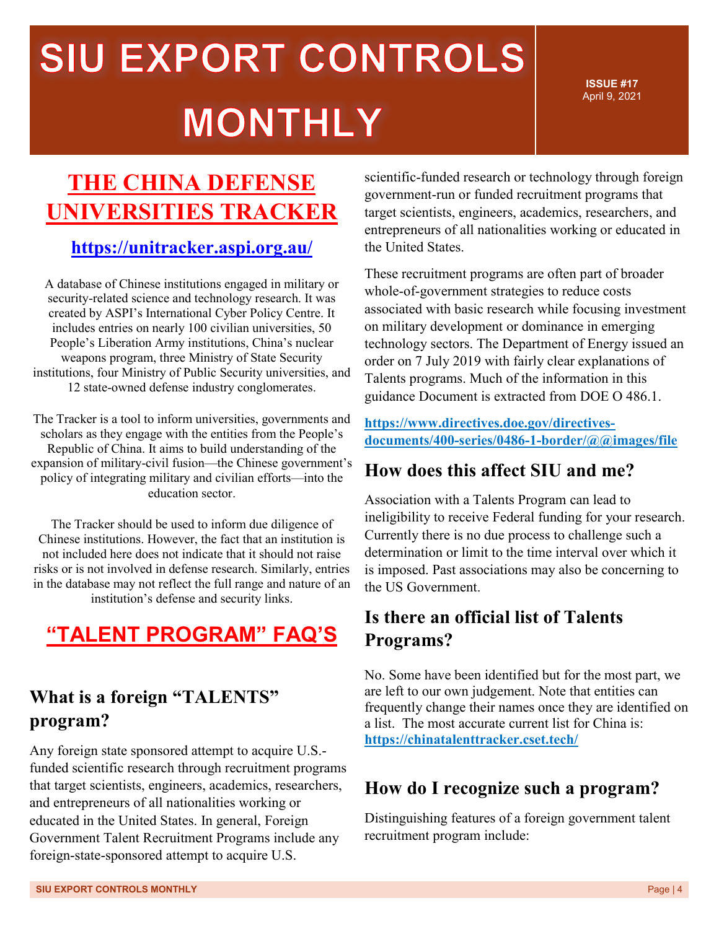**ISSUE #17** April 9, 2021

### **THE CHINA DEFENSE UNIVERSITIES TRACKER**

### **<https://unitracker.aspi.org.au/>**

A database of Chinese institutions engaged in military or security-related science and technology research. It was created by ASPI's International Cyber Policy Centre. It includes entries on nearly 100 civilian universities, 50 People's Liberation Army institutions, China's nuclear weapons program, three Ministry of State Security institutions, four Ministry of Public Security universities, and 12 state-owned defense industry conglomerates.

The Tracker is a tool to inform universities, governments and scholars as they engage with the entities from the People's Republic of China. It aims to build understanding of the expansion of military-civil fusion—the Chinese government's policy of integrating military and civilian efforts—into the education sector.

The Tracker should be used to inform due diligence of Chinese institutions. However, the fact that an institution is not included here does not indicate that it should not raise risks or is not involved in defense research. Similarly, entries in the database may not reflect the full range and nature of an institution's defense and security links.

### **"TALENT PROGRAM" FAQ'S**

### **What is a foreign "TALENTS" program?**

Any foreign state sponsored attempt to acquire U.S. funded scientific research through recruitment programs that target scientists, engineers, academics, researchers, and entrepreneurs of all nationalities working or educated in the United States. In general, Foreign Government Talent Recruitment Programs include any foreign-state-sponsored attempt to acquire U.S.

scientific-funded research or technology through foreign government-run or funded recruitment programs that target scientists, engineers, academics, researchers, and entrepreneurs of all nationalities working or educated in the United States.

These recruitment programs are often part of broader whole-of-government strategies to reduce costs associated with basic research while focusing investment on military development or dominance in emerging technology sectors. The Department of Energy issued an order on 7 July 2019 with fairly clear explanations of Talents programs. Much of the information in this guidance Document is extracted from DOE O 486.1.

**[https://www.directives.doe.gov/directives](https://www.directives.doe.gov/directives-documents/400-series/0486-1-border/@@images/file)[documents/400-series/0486-1-border/@@images/file](https://www.directives.doe.gov/directives-documents/400-series/0486-1-border/@@images/file)**

### **How does this affect SIU and me?**

Association with a Talents Program can lead to ineligibility to receive Federal funding for your research. Currently there is no due process to challenge such a determination or limit to the time interval over which it is imposed. Past associations may also be concerning to the US Government.

### **Is there an official list of Talents Programs?**

No. Some have been identified but for the most part, we are left to our own judgement. Note that entities can frequently change their names once they are identified on a list. The most accurate current list for China is: **https://chinatalenttracker.cset.tech/**

### **How do I recognize such a program?**

Distinguishing features of a foreign government talent recruitment program include: